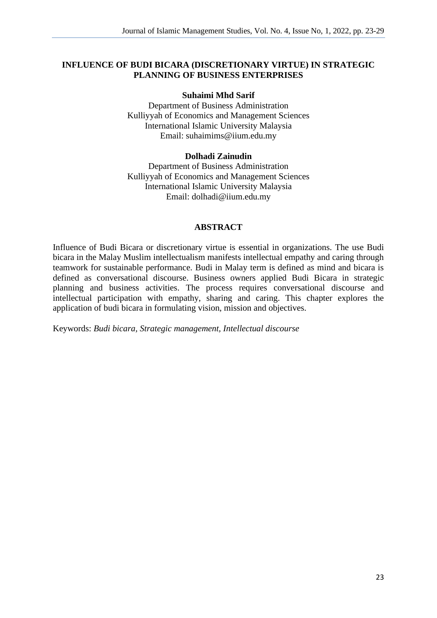### **INFLUENCE OF BUDI BICARA (DISCRETIONARY VIRTUE) IN STRATEGIC PLANNING OF BUSINESS ENTERPRISES**

#### **Suhaimi Mhd Sarif**

Department of Business Administration Kulliyyah of Economics and Management Sciences International Islamic University Malaysia Email: suhaimims@iium.edu.my

#### **Dolhadi Zainudin**

Department of Business Administration Kulliyyah of Economics and Management Sciences International Islamic University Malaysia Email: dolhadi@iium.edu.my

#### **ABSTRACT**

Influence of Budi Bicara or discretionary virtue is essential in organizations. The use Budi bicara in the Malay Muslim intellectualism manifests intellectual empathy and caring through teamwork for sustainable performance. Budi in Malay term is defined as mind and bicara is defined as conversational discourse. Business owners applied Budi Bicara in strategic planning and business activities. The process requires conversational discourse and intellectual participation with empathy, sharing and caring. This chapter explores the application of budi bicara in formulating vision, mission and objectives.

Keywords: *Budi bicara, Strategic management, Intellectual discourse*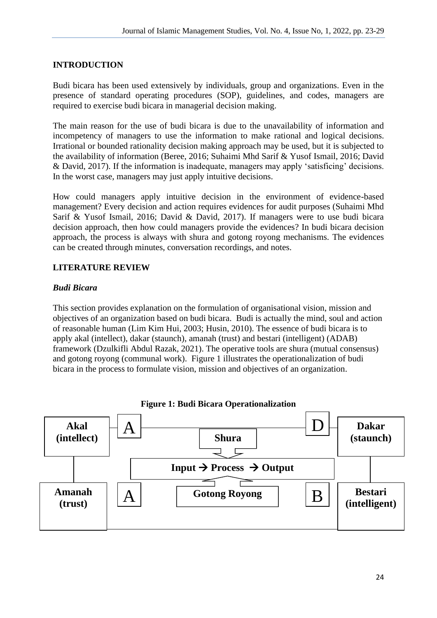# **INTRODUCTION**

Budi bicara has been used extensively by individuals, group and organizations. Even in the presence of standard operating procedures (SOP), guidelines, and codes, managers are required to exercise budi bicara in managerial decision making.

The main reason for the use of budi bicara is due to the unavailability of information and incompetency of managers to use the information to make rational and logical decisions. Irrational or bounded rationality decision making approach may be used, but it is subjected to the availability of information (Beree, 2016; Suhaimi Mhd Sarif & Yusof Ismail, 2016; David & David, 2017). If the information is inadequate, managers may apply 'satisficing' decisions. In the worst case, managers may just apply intuitive decisions.

How could managers apply intuitive decision in the environment of evidence-based management? Every decision and action requires evidences for audit purposes (Suhaimi Mhd Sarif & Yusof Ismail, 2016; David & David, 2017). If managers were to use budi bicara decision approach, then how could managers provide the evidences? In budi bicara decision approach, the process is always with shura and gotong royong mechanisms. The evidences can be created through minutes, conversation recordings, and notes.

## **LITERATURE REVIEW**

### *Budi Bicara*

This section provides explanation on the formulation of organisational vision, mission and objectives of an organization based on budi bicara. Budi is actually the mind, soul and action of reasonable human (Lim Kim Hui, 2003; Husin, 2010). The essence of budi bicara is to apply akal (intellect), dakar (staunch), amanah (trust) and bestari (intelligent) (ADAB) framework (Dzulkifli Abdul Razak, 2021). The operative tools are shura (mutual consensus) and gotong royong (communal work). Figure 1 illustrates the operationalization of budi bicara in the process to formulate vision, mission and objectives of an organization.

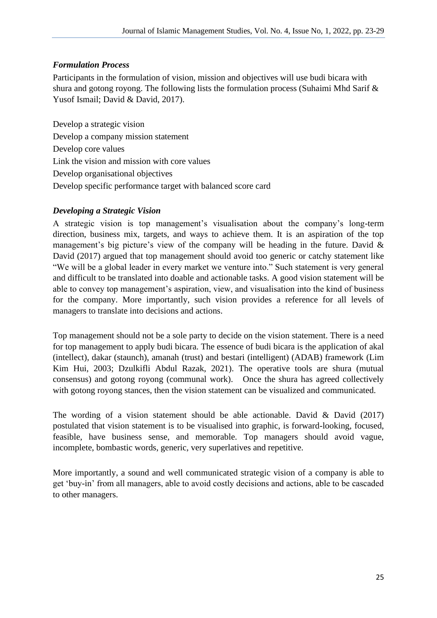# *Formulation Process*

Participants in the formulation of vision, mission and objectives will use budi bicara with shura and gotong royong. The following lists the formulation process (Suhaimi Mhd Sarif & Yusof Ismail; David & David, 2017).

Develop a strategic vision Develop a company mission statement Develop core values Link the vision and mission with core values Develop organisational objectives Develop specific performance target with balanced score card

## *Developing a Strategic Vision*

A strategic vision is top management's visualisation about the company's long-term direction, business mix, targets, and ways to achieve them. It is an aspiration of the top management's big picture's view of the company will be heading in the future. David & David (2017) argued that top management should avoid too generic or catchy statement like "We will be a global leader in every market we venture into." Such statement is very general and difficult to be translated into doable and actionable tasks. A good vision statement will be able to convey top management's aspiration, view, and visualisation into the kind of business for the company. More importantly, such vision provides a reference for all levels of managers to translate into decisions and actions.

Top management should not be a sole party to decide on the vision statement. There is a need for top management to apply budi bicara. The essence of budi bicara is the application of akal (intellect), dakar (staunch), amanah (trust) and bestari (intelligent) (ADAB) framework (Lim Kim Hui, 2003; Dzulkifli Abdul Razak, 2021). The operative tools are shura (mutual consensus) and gotong royong (communal work). Once the shura has agreed collectively with gotong royong stances, then the vision statement can be visualized and communicated.

The wording of a vision statement should be able actionable. David  $&$  David (2017) postulated that vision statement is to be visualised into graphic, is forward-looking, focused, feasible, have business sense, and memorable. Top managers should avoid vague, incomplete, bombastic words, generic, very superlatives and repetitive.

More importantly, a sound and well communicated strategic vision of a company is able to get 'buy-in' from all managers, able to avoid costly decisions and actions, able to be cascaded to other managers.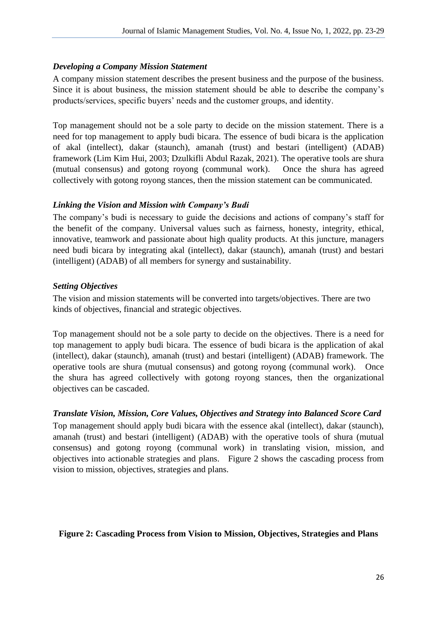#### *Developing a Company Mission Statement*

A company mission statement describes the present business and the purpose of the business. Since it is about business, the mission statement should be able to describe the company's products/services, specific buyers' needs and the customer groups, and identity.

Top management should not be a sole party to decide on the mission statement. There is a need for top management to apply budi bicara. The essence of budi bicara is the application of akal (intellect), dakar (staunch), amanah (trust) and bestari (intelligent) (ADAB) framework (Lim Kim Hui, 2003; Dzulkifli Abdul Razak, 2021). The operative tools are shura (mutual consensus) and gotong royong (communal work). Once the shura has agreed collectively with gotong royong stances, then the mission statement can be communicated.

#### *Linking the Vision and Mission with Company's Budi*

The company's budi is necessary to guide the decisions and actions of company's staff for the benefit of the company. Universal values such as fairness, honesty, integrity, ethical, innovative, teamwork and passionate about high quality products. At this juncture, managers need budi bicara by integrating akal (intellect), dakar (staunch), amanah (trust) and bestari (intelligent) (ADAB) of all members for synergy and sustainability.

#### *Setting Objectives*

The vision and mission statements will be converted into targets/objectives. There are two kinds of objectives, financial and strategic objectives.

Top management should not be a sole party to decide on the objectives. There is a need for top management to apply budi bicara. The essence of budi bicara is the application of akal (intellect), dakar (staunch), amanah (trust) and bestari (intelligent) (ADAB) framework. The operative tools are shura (mutual consensus) and gotong royong (communal work). Once the shura has agreed collectively with gotong royong stances, then the organizational objectives can be cascaded.

### *Translate Vision, Mission, Core Values, Objectives and Strategy into Balanced Score Card*

Top management should apply budi bicara with the essence akal (intellect), dakar (staunch), amanah (trust) and bestari (intelligent) (ADAB) with the operative tools of shura (mutual consensus) and gotong royong (communal work) in translating vision, mission, and objectives into actionable strategies and plans. Figure 2 shows the cascading process from vision to mission, objectives, strategies and plans.

### **Figure 2: Cascading Process from Vision to Mission, Objectives, Strategies and Plans**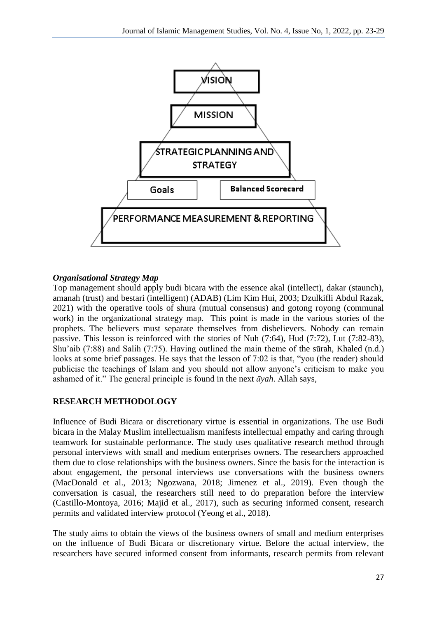

## *Organisational Strategy Map*

Top management should apply budi bicara with the essence akal (intellect), dakar (staunch), amanah (trust) and bestari (intelligent) (ADAB) (Lim Kim Hui, 2003; Dzulkifli Abdul Razak, 2021) with the operative tools of shura (mutual consensus) and gotong royong (communal work) in the organizational strategy map. This point is made in the various stories of the prophets. The believers must separate themselves from disbelievers. Nobody can remain passive. This lesson is reinforced with the stories of Nuh (7:64), Hud (7:72), Lut (7:82-83), Shu'aib (7:88) and Salih (7:75). Having outlined the main theme of the sūrah, Khaled (n.d.) looks at some brief passages. He says that the lesson of 7:02 is that, "you (the reader) should publicise the teachings of Islam and you should not allow anyone's criticism to make you ashamed of it." The general principle is found in the next *āyah*. Allah says,

# **RESEARCH METHODOLOGY**

Influence of Budi Bicara or discretionary virtue is essential in organizations. The use Budi bicara in the Malay Muslim intellectualism manifests intellectual empathy and caring through teamwork for sustainable performance. The study uses qualitative research method through personal interviews with small and medium enterprises owners. The researchers approached them due to close relationships with the business owners. Since the basis for the interaction is about engagement, the personal interviews use conversations with the business owners (MacDonald et al., 2013; Ngozwana, 2018; Jimenez et al., 2019). Even though the conversation is casual, the researchers still need to do preparation before the interview (Castillo-Montoya, 2016; Majid et al., 2017), such as securing informed consent, research permits and validated interview protocol (Yeong et al., 2018).

The study aims to obtain the views of the business owners of small and medium enterprises on the influence of Budi Bicara or discretionary virtue. Before the actual interview, the researchers have secured informed consent from informants, research permits from relevant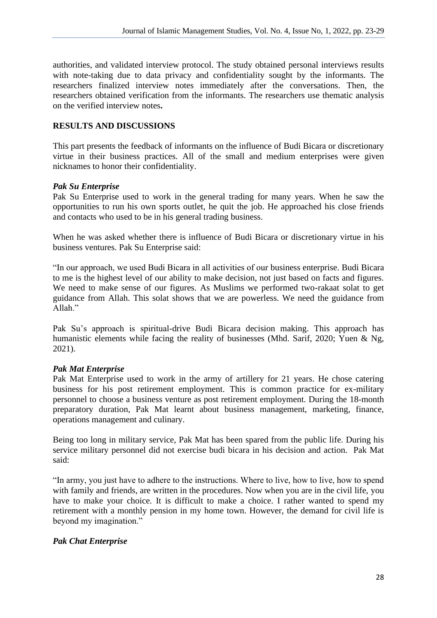authorities, and validated interview protocol. The study obtained personal interviews results with note-taking due to data privacy and confidentiality sought by the informants. The researchers finalized interview notes immediately after the conversations. Then, the researchers obtained verification from the informants. The researchers use thematic analysis on the verified interview notes**.**

# **RESULTS AND DISCUSSIONS**

This part presents the feedback of informants on the influence of Budi Bicara or discretionary virtue in their business practices. All of the small and medium enterprises were given nicknames to honor their confidentiality.

### *Pak Su Enterprise*

Pak Su Enterprise used to work in the general trading for many years. When he saw the opportunities to run his own sports outlet, he quit the job. He approached his close friends and contacts who used to be in his general trading business.

When he was asked whether there is influence of Budi Bicara or discretionary virtue in his business ventures. Pak Su Enterprise said:

"In our approach, we used Budi Bicara in all activities of our business enterprise. Budi Bicara to me is the highest level of our ability to make decision, not just based on facts and figures. We need to make sense of our figures. As Muslims we performed two-rakaat solat to get guidance from Allah. This solat shows that we are powerless. We need the guidance from Allah."

Pak Su's approach is spiritual-drive Budi Bicara decision making. This approach has humanistic elements while facing the reality of businesses (Mhd. Sarif, 2020; Yuen & Ng, 2021).

### *Pak Mat Enterprise*

Pak Mat Enterprise used to work in the army of artillery for 21 years. He chose catering business for his post retirement employment. This is common practice for ex-military personnel to choose a business venture as post retirement employment. During the 18-month preparatory duration, Pak Mat learnt about business management, marketing, finance, operations management and culinary.

Being too long in military service, Pak Mat has been spared from the public life. During his service military personnel did not exercise budi bicara in his decision and action. Pak Mat said:

"In army, you just have to adhere to the instructions. Where to live, how to live, how to spend with family and friends, are written in the procedures. Now when you are in the civil life, you have to make your choice. It is difficult to make a choice. I rather wanted to spend my retirement with a monthly pension in my home town. However, the demand for civil life is beyond my imagination."

### *Pak Chat Enterprise*